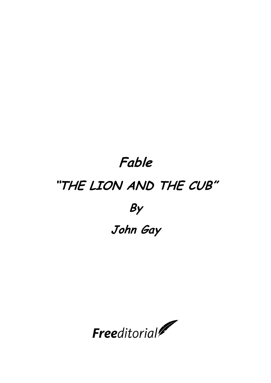## **Fable "THE LION AND THE CUB" By John Gay**

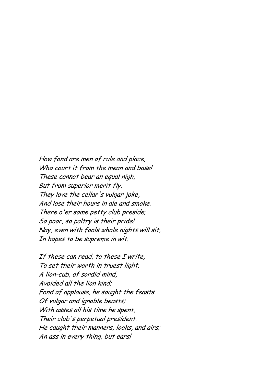How fond are men of rule and place, Who court it from the mean and base! These cannot bear an equal nigh, But from superior merit fly. They love the cellar's vulgar joke, And lose their hours in ale and smoke. There o'er some petty club preside; So poor, so paltry is their pride! Nay, even with fools whole nights will sit, In hopes to be supreme in wit.

If these can read, to these I write, To set their worth in truest light. A lion-cub, of sordid mind, Avoided all the lion kind; Fond of applause, he sought the feasts Of vulgar and ignoble beasts; With asses all his time he spent, Their club's perpetual president. He caught their manners, looks, and airs; An ass in every thing, but ears!